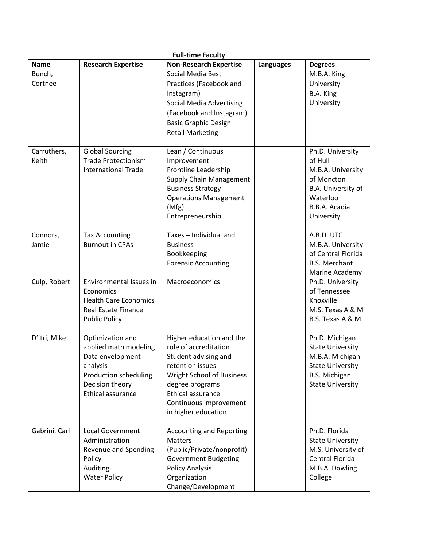| <b>Full-time Faculty</b> |                                                                                                                                                   |                                                                                                                                                                                                                     |                  |                                                                                                                                            |
|--------------------------|---------------------------------------------------------------------------------------------------------------------------------------------------|---------------------------------------------------------------------------------------------------------------------------------------------------------------------------------------------------------------------|------------------|--------------------------------------------------------------------------------------------------------------------------------------------|
| <b>Name</b>              | <b>Research Expertise</b>                                                                                                                         | <b>Non-Research Expertise</b>                                                                                                                                                                                       | <b>Languages</b> | <b>Degrees</b>                                                                                                                             |
| Bunch,<br>Cortnee        |                                                                                                                                                   | Social Media Best<br>Practices (Facebook and<br>Instagram)<br><b>Social Media Advertising</b><br>(Facebook and Instagram)<br><b>Basic Graphic Design</b><br><b>Retail Marketing</b>                                 |                  | M.B.A. King<br>University<br>B.A. King<br>University                                                                                       |
| Carruthers,<br>Keith     | <b>Global Sourcing</b><br><b>Trade Protectionism</b><br><b>International Trade</b>                                                                | Lean / Continuous<br>Improvement<br>Frontline Leadership<br><b>Supply Chain Management</b><br><b>Business Strategy</b><br><b>Operations Management</b><br>(Mfg)<br>Entrepreneurship                                 |                  | Ph.D. University<br>of Hull<br>M.B.A. University<br>of Moncton<br>B.A. University of<br>Waterloo<br>B.B.A. Acadia<br>University            |
| Connors,<br>Jamie        | <b>Tax Accounting</b><br><b>Burnout in CPAs</b>                                                                                                   | Taxes - Individual and<br><b>Business</b><br>Bookkeeping<br><b>Forensic Accounting</b>                                                                                                                              |                  | A.B.D. UTC<br>M.B.A. University<br>of Central Florida<br><b>B.S. Merchant</b><br>Marine Academy                                            |
| Culp, Robert             | Environmental Issues in<br>Economics<br><b>Health Care Economics</b><br><b>Real Estate Finance</b><br><b>Public Policy</b>                        | Macroeconomics                                                                                                                                                                                                      |                  | Ph.D. University<br>of Tennessee<br>Knoxville<br>M.S. Texas A & M<br>B.S. Texas A & M                                                      |
| D'itri, Mike             | Optimization and<br>applied math modeling<br>Data envelopment<br>analysis<br><b>Production scheduling</b><br>Decision theory<br>Ethical assurance | Higher education and the<br>role of accreditation<br>Student advising and<br>retention issues<br>Wright School of Business<br>degree programs<br>Ethical assurance<br>Continuous improvement<br>in higher education |                  | Ph.D. Michigan<br><b>State University</b><br>M.B.A. Michigan<br><b>State University</b><br><b>B.S. Michigan</b><br><b>State University</b> |
| Gabrini, Carl            | <b>Local Government</b><br>Administration<br>Revenue and Spending<br>Policy<br>Auditing<br><b>Water Policy</b>                                    | <b>Accounting and Reporting</b><br><b>Matters</b><br>(Public/Private/nonprofit)<br><b>Government Budgeting</b><br><b>Policy Analysis</b><br>Organization<br>Change/Development                                      |                  | Ph.D. Florida<br><b>State University</b><br>M.S. University of<br>Central Florida<br>M.B.A. Dowling<br>College                             |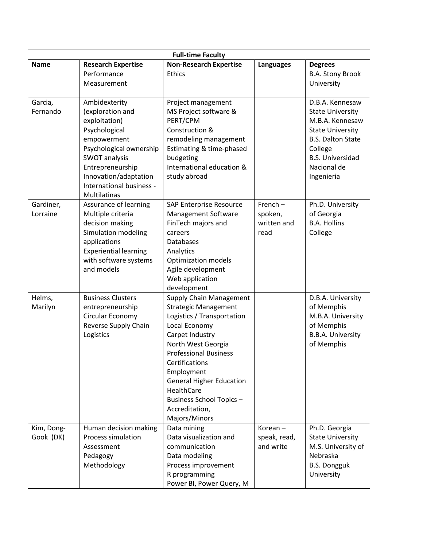| <b>Full-time Faculty</b> |                                                 |                                                    |                  |                                    |
|--------------------------|-------------------------------------------------|----------------------------------------------------|------------------|------------------------------------|
| <b>Name</b>              | <b>Research Expertise</b>                       | <b>Non-Research Expertise</b>                      | <b>Languages</b> | <b>Degrees</b>                     |
|                          | Performance                                     | <b>Ethics</b>                                      |                  | <b>B.A. Stony Brook</b>            |
|                          | Measurement                                     |                                                    |                  | University                         |
|                          |                                                 |                                                    |                  |                                    |
| Garcia,                  | Ambidexterity                                   | Project management                                 |                  | D.B.A. Kennesaw                    |
| Fernando                 | (exploration and                                | MS Project software &                              |                  | <b>State University</b>            |
|                          | exploitation)                                   | PERT/CPM                                           |                  | M.B.A. Kennesaw                    |
|                          | Psychological                                   | Construction &                                     |                  | <b>State University</b>            |
|                          | empowerment                                     | remodeling management                              |                  | <b>B.S. Dalton State</b>           |
|                          | Psychological ownership<br><b>SWOT analysis</b> | Estimating & time-phased<br>budgeting              |                  | College<br><b>B.S. Universidad</b> |
|                          | Entrepreneurship                                | International education &                          |                  | Nacional de                        |
|                          | Innovation/adaptation                           | study abroad                                       |                  | Ingenieria                         |
|                          | International business -                        |                                                    |                  |                                    |
|                          | Multilatinas                                    |                                                    |                  |                                    |
| Gardiner,                | Assurance of learning                           | SAP Enterprise Resource                            | $French -$       | Ph.D. University                   |
| Lorraine                 | Multiple criteria                               | Management Software                                | spoken,          | of Georgia                         |
|                          | decision making                                 | FinTech majors and                                 | written and      | <b>B.A. Hollins</b>                |
|                          | Simulation modeling                             | careers                                            | read             | College                            |
|                          | applications                                    | <b>Databases</b>                                   |                  |                                    |
|                          | <b>Experiential learning</b>                    | Analytics                                          |                  |                                    |
|                          | with software systems                           | <b>Optimization models</b>                         |                  |                                    |
|                          | and models                                      | Agile development                                  |                  |                                    |
|                          |                                                 | Web application                                    |                  |                                    |
|                          |                                                 | development                                        |                  |                                    |
| Helms,                   | <b>Business Clusters</b>                        | <b>Supply Chain Management</b>                     |                  | D.B.A. University                  |
| Marilyn                  | entrepreneurship                                | <b>Strategic Management</b>                        |                  | of Memphis                         |
|                          | Circular Economy                                | Logistics / Transportation                         |                  | M.B.A. University                  |
|                          | Reverse Supply Chain                            | Local Economy                                      |                  | of Memphis                         |
|                          | Logistics                                       | Carpet Industry                                    |                  | <b>B.B.A. University</b>           |
|                          |                                                 | North West Georgia<br><b>Professional Business</b> |                  | of Memphis                         |
|                          |                                                 | Certifications                                     |                  |                                    |
|                          |                                                 | Employment                                         |                  |                                    |
|                          |                                                 | <b>General Higher Education</b>                    |                  |                                    |
|                          |                                                 | HealthCare                                         |                  |                                    |
|                          |                                                 | <b>Business School Topics -</b>                    |                  |                                    |
|                          |                                                 | Accreditation,                                     |                  |                                    |
|                          |                                                 | Majors/Minors                                      |                  |                                    |
| Kim, Dong-               | Human decision making                           | Data mining                                        | Korean-          | Ph.D. Georgia                      |
| Gook (DK)                | <b>Process simulation</b>                       | Data visualization and                             | speak, read,     | <b>State University</b>            |
|                          | Assessment                                      | communication                                      | and write        | M.S. University of                 |
|                          | Pedagogy                                        | Data modeling                                      |                  | Nebraska                           |
|                          | Methodology                                     | Process improvement                                |                  | <b>B.S. Dongguk</b>                |
|                          |                                                 | R programming                                      |                  | University                         |
|                          |                                                 | Power BI, Power Query, M                           |                  |                                    |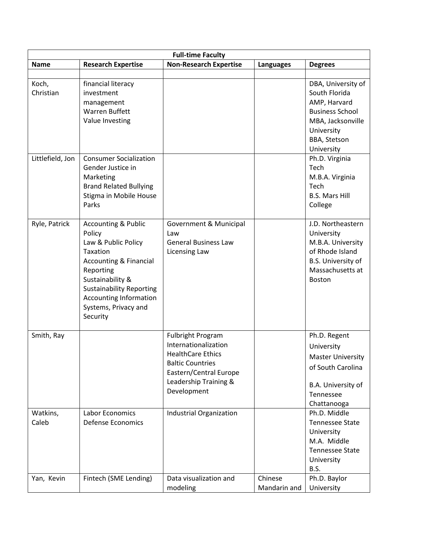| <b>Full-time Faculty</b> |                                                                                                                                                                                                                                                           |                                                                                                                                                                           |                         |                                                                                                                                                |
|--------------------------|-----------------------------------------------------------------------------------------------------------------------------------------------------------------------------------------------------------------------------------------------------------|---------------------------------------------------------------------------------------------------------------------------------------------------------------------------|-------------------------|------------------------------------------------------------------------------------------------------------------------------------------------|
| <b>Name</b>              | <b>Research Expertise</b>                                                                                                                                                                                                                                 | <b>Non-Research Expertise</b>                                                                                                                                             | <b>Languages</b>        | <b>Degrees</b>                                                                                                                                 |
|                          |                                                                                                                                                                                                                                                           |                                                                                                                                                                           |                         |                                                                                                                                                |
| Koch,<br>Christian       | financial literacy<br>investment<br>management<br><b>Warren Buffett</b><br>Value Investing                                                                                                                                                                |                                                                                                                                                                           |                         | DBA, University of<br>South Florida<br>AMP, Harvard<br><b>Business School</b><br>MBA, Jacksonville<br>University<br>BBA, Stetson<br>University |
| Littlefield, Jon         | <b>Consumer Socialization</b><br>Gender Justice in<br>Marketing<br><b>Brand Related Bullying</b><br>Stigma in Mobile House<br>Parks                                                                                                                       |                                                                                                                                                                           |                         | Ph.D. Virginia<br>Tech<br>M.B.A. Virginia<br>Tech<br><b>B.S. Mars Hill</b><br>College                                                          |
| Ryle, Patrick            | <b>Accounting &amp; Public</b><br>Policy<br>Law & Public Policy<br>Taxation<br><b>Accounting &amp; Financial</b><br>Reporting<br>Sustainability &<br><b>Sustainability Reporting</b><br><b>Accounting Information</b><br>Systems, Privacy and<br>Security | Government & Municipal<br>Law<br><b>General Business Law</b><br><b>Licensing Law</b>                                                                                      |                         | J.D. Northeastern<br>University<br>M.B.A. University<br>of Rhode Island<br>B.S. University of<br>Massachusetts at<br><b>Boston</b>             |
| Smith, Ray               |                                                                                                                                                                                                                                                           | <b>Fulbright Program</b><br>Internationalization<br><b>HealthCare Ethics</b><br><b>Baltic Countries</b><br>Eastern/Central Europe<br>Leadership Training &<br>Development |                         | Ph.D. Regent<br>University<br><b>Master University</b><br>of South Carolina<br>B.A. University of<br>Tennessee<br>Chattanooga                  |
| Watkins,<br>Caleb        | Labor Economics<br><b>Defense Economics</b>                                                                                                                                                                                                               | Industrial Organization                                                                                                                                                   |                         | Ph.D. Middle<br><b>Tennessee State</b><br>University<br>M.A. Middle<br><b>Tennessee State</b><br>University<br>B.S.                            |
| Yan, Kevin               | Fintech (SME Lending)                                                                                                                                                                                                                                     | Data visualization and<br>modeling                                                                                                                                        | Chinese<br>Mandarin and | Ph.D. Baylor<br>University                                                                                                                     |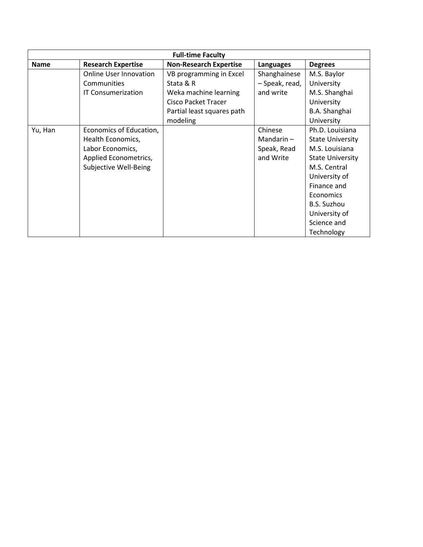| <b>Full-time Faculty</b> |                           |                               |                |                         |  |
|--------------------------|---------------------------|-------------------------------|----------------|-------------------------|--|
| <b>Name</b>              | <b>Research Expertise</b> | <b>Non-Research Expertise</b> | Languages      | <b>Degrees</b>          |  |
|                          | Online User Innovation    | VB programming in Excel       | Shanghainese   | M.S. Baylor             |  |
|                          | Communities               | Stata & R                     | - Speak, read, | University              |  |
|                          | <b>IT Consumerization</b> | Weka machine learning         | and write      | M.S. Shanghai           |  |
|                          |                           | <b>Cisco Packet Tracer</b>    |                | University              |  |
|                          |                           | Partial least squares path    |                | B.A. Shanghai           |  |
|                          |                           | modeling                      |                | University              |  |
| Yu, Han                  | Economics of Education,   |                               | Chinese        | Ph.D. Louisiana         |  |
|                          | Health Economics,         |                               | Mandarin $-$   | <b>State University</b> |  |
|                          | Labor Economics,          |                               | Speak, Read    | M.S. Louisiana          |  |
|                          | Applied Econometrics,     |                               | and Write      | <b>State University</b> |  |
|                          | Subjective Well-Being     |                               |                | M.S. Central            |  |
|                          |                           |                               |                | University of           |  |
|                          |                           |                               |                | Finance and             |  |
|                          |                           |                               |                | Economics               |  |
|                          |                           |                               |                | <b>B.S. Suzhou</b>      |  |
|                          |                           |                               |                | University of           |  |
|                          |                           |                               |                | Science and             |  |
|                          |                           |                               |                | Technology              |  |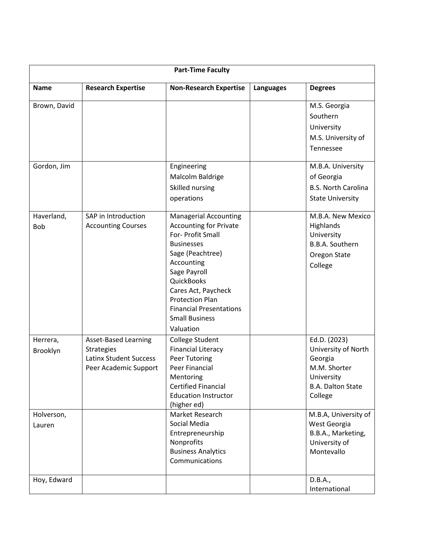| <b>Part-Time Faculty</b> |                                                                                                            |                                                                                                                                                                                                                                                                                                  |           |                                                                                                                     |
|--------------------------|------------------------------------------------------------------------------------------------------------|--------------------------------------------------------------------------------------------------------------------------------------------------------------------------------------------------------------------------------------------------------------------------------------------------|-----------|---------------------------------------------------------------------------------------------------------------------|
| <b>Name</b>              | <b>Research Expertise</b>                                                                                  | <b>Non-Research Expertise</b>                                                                                                                                                                                                                                                                    | Languages | <b>Degrees</b>                                                                                                      |
| Brown, David             |                                                                                                            |                                                                                                                                                                                                                                                                                                  |           | M.S. Georgia<br>Southern<br>University<br>M.S. University of<br>Tennessee                                           |
| Gordon, Jim              |                                                                                                            | Engineering<br>Malcolm Baldrige<br>Skilled nursing<br>operations                                                                                                                                                                                                                                 |           | M.B.A. University<br>of Georgia<br><b>B.S. North Carolina</b><br><b>State University</b>                            |
| Haverland,<br>Bob        | SAP in Introduction<br><b>Accounting Courses</b>                                                           | <b>Managerial Accounting</b><br><b>Accounting for Private</b><br>For- Profit Small<br><b>Businesses</b><br>Sage (Peachtree)<br>Accounting<br>Sage Payroll<br>QuickBooks<br>Cares Act, Paycheck<br><b>Protection Plan</b><br><b>Financial Presentations</b><br><b>Small Business</b><br>Valuation |           | M.B.A. New Mexico<br>Highlands<br>University<br>B.B.A. Southern<br>Oregon State<br>College                          |
| Herrera,<br>Brooklyn     | <b>Asset-Based Learning</b><br><b>Strategies</b><br><b>Latinx Student Success</b><br>Peer Academic Support | <b>College Student</b><br><b>Financial Literacy</b><br><b>Peer Tutoring</b><br><b>Peer Financial</b><br>Mentoring<br><b>Certified Financial</b><br><b>Education Instructor</b><br>(higher ed)                                                                                                    |           | Ed.D. (2023)<br>University of North<br>Georgia<br>M.M. Shorter<br>University<br><b>B.A. Dalton State</b><br>College |
| Holverson,<br>Lauren     |                                                                                                            | Market Research<br>Social Media<br>Entrepreneurship<br>Nonprofits<br><b>Business Analytics</b><br>Communications                                                                                                                                                                                 |           | M.B.A, University of<br>West Georgia<br>B.B.A., Marketing,<br>University of<br>Montevallo                           |
| Hoy, Edward              |                                                                                                            |                                                                                                                                                                                                                                                                                                  |           | D.B.A.,<br>International                                                                                            |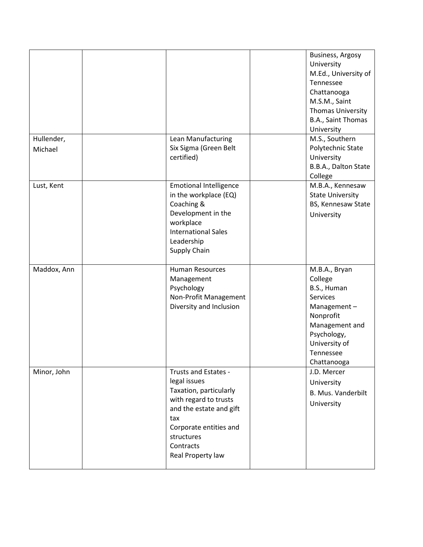| Hullender,<br>Michael | Lean Manufacturing<br>Six Sigma (Green Belt                                                                                                                                                         | Business, Argosy<br>University<br>M.Ed., University of<br>Tennessee<br>Chattanooga<br>M.S.M., Saint<br><b>Thomas University</b><br>B.A., Saint Thomas<br>University<br>M.S., Southern<br>Polytechnic State |
|-----------------------|-----------------------------------------------------------------------------------------------------------------------------------------------------------------------------------------------------|------------------------------------------------------------------------------------------------------------------------------------------------------------------------------------------------------------|
|                       | certified)                                                                                                                                                                                          | University<br>B.B.A., Dalton State<br>College                                                                                                                                                              |
| Lust, Kent            | <b>Emotional Intelligence</b><br>in the workplace (EQ)<br>Coaching &<br>Development in the<br>workplace<br><b>International Sales</b><br>Leadership<br>Supply Chain                                 | M.B.A., Kennesaw<br><b>State University</b><br>BS, Kennesaw State<br>University                                                                                                                            |
| Maddox, Ann           | <b>Human Resources</b><br>Management<br>Psychology<br>Non-Profit Management<br>Diversity and Inclusion                                                                                              | M.B.A., Bryan<br>College<br>B.S., Human<br><b>Services</b><br>Management-<br>Nonprofit<br>Management and<br>Psychology,<br>University of<br>Tennessee<br>Chattanooga                                       |
| Minor, John           | Trusts and Estates -<br>legal issues<br>Taxation, particularly<br>with regard to trusts<br>and the estate and gift<br>tax<br>Corporate entities and<br>structures<br>Contracts<br>Real Property law | J.D. Mercer<br>University<br>B. Mus. Vanderbilt<br>University                                                                                                                                              |